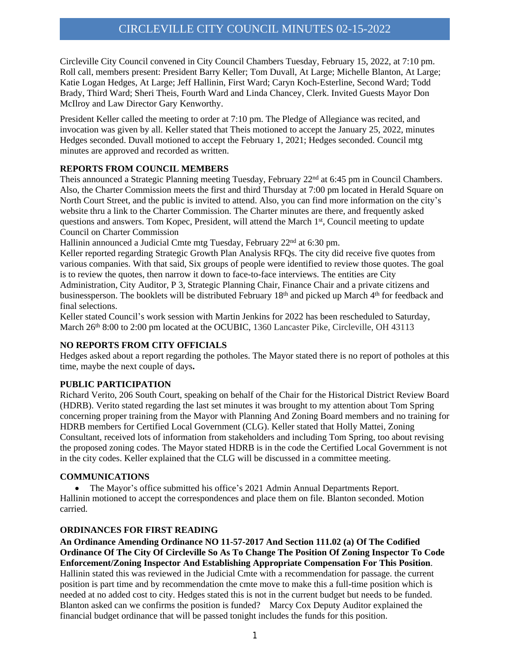Circleville City Council convened in City Council Chambers Tuesday, February 15, 2022, at 7:10 pm. Roll call, members present: President Barry Keller; Tom Duvall, At Large; Michelle Blanton, At Large; Katie Logan Hedges, At Large; Jeff Hallinin, First Ward; Caryn Koch-Esterline, Second Ward; Todd Brady, Third Ward; Sheri Theis, Fourth Ward and Linda Chancey, Clerk. Invited Guests Mayor Don McIlroy and Law Director Gary Kenworthy.

President Keller called the meeting to order at 7:10 pm. The Pledge of Allegiance was recited, and invocation was given by all. Keller stated that Theis motioned to accept the January 25, 2022, minutes Hedges seconded. Duvall motioned to accept the February 1, 2021; Hedges seconded. Council mtg minutes are approved and recorded as written.

## **REPORTS FROM COUNCIL MEMBERS**

Theis announced a Strategic Planning meeting Tuesday, February  $22<sup>nd</sup>$  at 6:45 pm in Council Chambers. Also, the Charter Commission meets the first and third Thursday at 7:00 pm located in Herald Square on North Court Street, and the public is invited to attend. Also, you can find more information on the city's website thru a link to the Charter Commission. The Charter minutes are there, and frequently asked questions and answers. Tom Kopec, President, will attend the March 1<sup>st</sup>, Council meeting to update Council on Charter Commission

Hallinin announced a Judicial Cmte mtg Tuesday, February 22<sup>nd</sup> at 6:30 pm.

Keller reported regarding Strategic Growth Plan Analysis RFQs. The city did receive five quotes from various companies. With that said, Six groups of people were identified to review those quotes. The goal is to review the quotes, then narrow it down to face-to-face interviews. The entities are City Administration, City Auditor, P 3, Strategic Planning Chair, Finance Chair and a private citizens and businessperson. The booklets will be distributed February 18th and picked up March 4th for feedback and final selections.

Keller stated Council's work session with Martin Jenkins for 2022 has been rescheduled to Saturday, March 26<sup>th</sup> 8:00 to 2:00 pm located at the OCUBIC, 1360 Lancaster Pike, Circleville, OH 43113

## **NO REPORTS FROM CITY OFFICIALS**

Hedges asked about a report regarding the potholes. The Mayor stated there is no report of potholes at this time, maybe the next couple of days**.**

## **PUBLIC PARTICIPATION**

Richard Verito, 206 South Court, speaking on behalf of the Chair for the Historical District Review Board (HDRB). Verito stated regarding the last set minutes it was brought to my attention about Tom Spring concerning proper training from the Mayor with Planning And Zoning Board members and no training for HDRB members for Certified Local Government (CLG). Keller stated that Holly Mattei, Zoning Consultant, received lots of information from stakeholders and including Tom Spring, too about revising the proposed zoning codes. The Mayor stated HDRB is in the code the Certified Local Government is not in the city codes. Keller explained that the CLG will be discussed in a committee meeting.

## **COMMUNICATIONS**

 The Mayor's office submitted his office's 2021 Admin Annual Departments Report. Hallinin motioned to accept the correspondences and place them on file. Blanton seconded. Motion carried.

## **ORDINANCES FOR FIRST READING**

**An Ordinance Amending Ordinance NO 11-57-2017 And Section 111.02 (a) Of The Codified Ordinance Of The City Of Circleville So As To Change The Position Of Zoning Inspector To Code Enforcement/Zoning Inspector And Establishing Appropriate Compensation For This Position**. Hallinin stated this was reviewed in the Judicial Cmte with a recommendation for passage. the current position is part time and by recommendation the cmte move to make this a full-time position which is needed at no added cost to city. Hedges stated this is not in the current budget but needs to be funded. Blanton asked can we confirms the position is funded? Marcy Cox Deputy Auditor explained the financial budget ordinance that will be passed tonight includes the funds for this position.